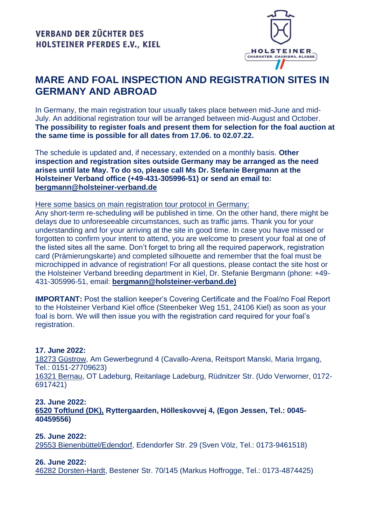

# **MARE AND FOAL INSPECTION AND REGISTRATION SITES IN GERMANY AND ABROAD**

In Germany, the main registration tour usually takes place between mid-June and mid-July. An additional registration tour will be arranged between mid-August and October. **The possibility to register foals and present them for selection for the foal auction at the same time is possible for all dates from 17.06. to 02.07.22.**

The schedule is updated and, if necessary, extended on a monthly basis. **Other inspection and registration sites outside Germany may be arranged as the need arises until late May. To do so, please call Ms Dr. Stefanie Bergmann at the Holsteiner Verband office (+49-431-305996-51) or send an email to: [bergmann@holsteiner-verband.de](mailto:bergmann@holsteiner-verband.de)**

Here some basics on main registration tour protocol in Germany:

Any short-term re-scheduling will be published in time. On the other hand, there might be delays due to unforeseeable circumstances, such as traffic jams. Thank you for your understanding and for your arriving at the site in good time. In case you have missed or forgotten to confirm your intent to attend, you are welcome to present your foal at one of the listed sites all the same. Don't forget to bring all the required paperwork, registration card (Prämierungskarte) and completed silhouette and remember that the foal must be microchipped in advance of registration! For all questions, please contact the site host or the Holsteiner Verband breeding department in Kiel, Dr. Stefanie Bergmann (phone: +49- 431-305996-51, email: **[bergmann@holsteiner-verband.de\)](mailto:bergmann@holsteiner-verband.de)**

**IMPORTANT:** Post the stallion keeper's Covering Certificate and the Foal/no Foal Report to the Holsteiner Verband Kiel office (Steenbeker Weg 151, 24106 Kiel) as soon as your foal is born. We will then issue you with the registration card required for your foal's registration.

#### **17. June 2022:**

18273 Güstrow, Am Gewerbegrund 4 (Cavallo-Arena, Reitsport Manski, Maria Irrgang, Tel.: 0151-27709623) 16321 Bernau, OT Ladeburg, Reitanlage Ladeburg, Rüdnitzer Str. (Udo Verworner, 0172- 6917421)

#### **23. June 2022:**

**6520 Toftlund (DK), Ryttergaarden, Hölleskovvej 4, (Egon Jessen, Tel.: 0045- 40459556)** 

**25. June 2022:**

29553 Bienenbüttel/Edendorf, Edendorfer Str. 29 (Sven Völz, Tel.: 0173-9461518)

#### **26. June 2022:**

46282 Dorsten-Hardt, Bestener Str. 70/145 (Markus Hoffrogge, Tel.: 0173-4874425)